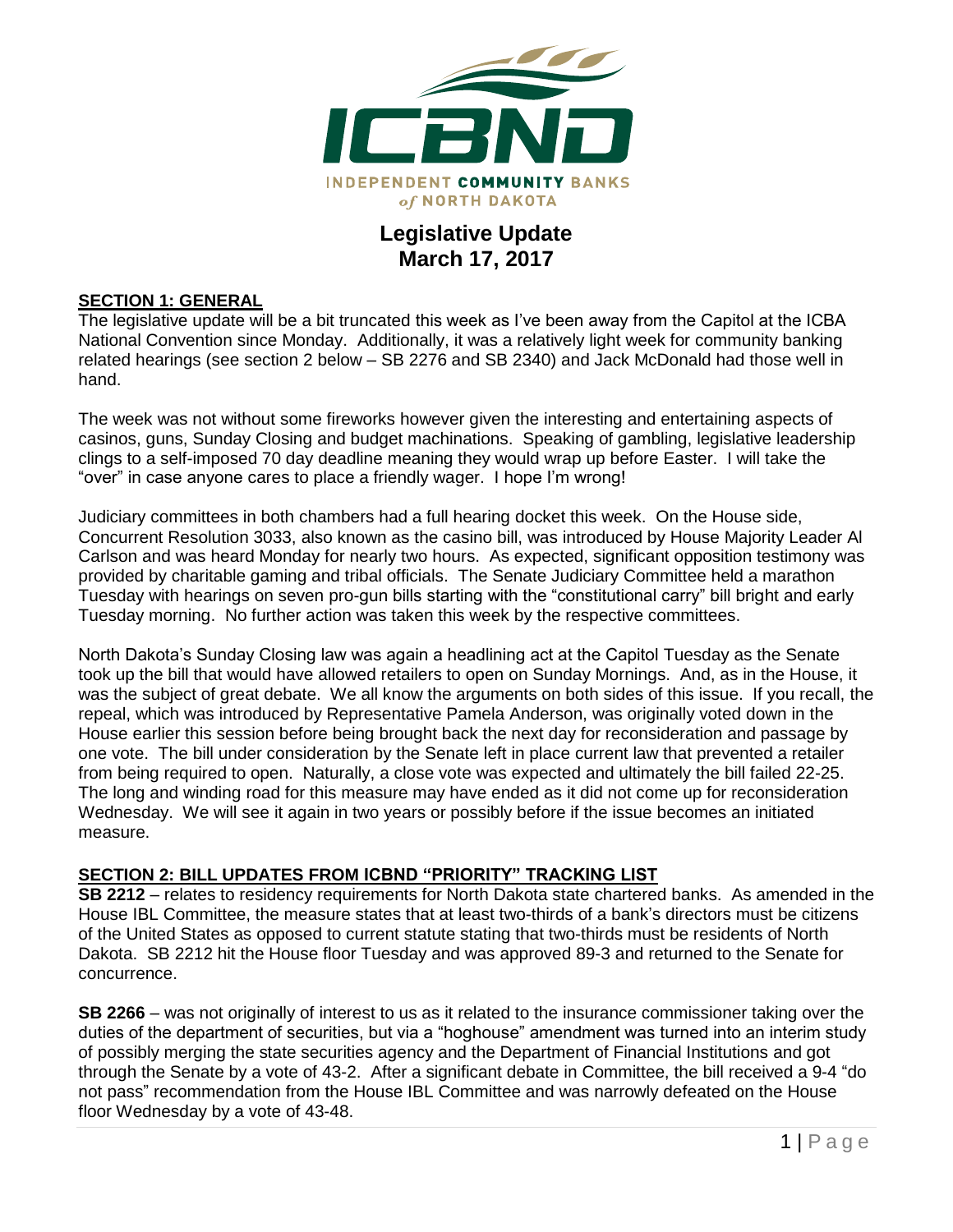

## **Legislative Update March 17, 2017**

#### **SECTION 1: GENERAL**

The legislative update will be a bit truncated this week as I've been away from the Capitol at the ICBA National Convention since Monday. Additionally, it was a relatively light week for community banking related hearings (see section 2 below – SB 2276 and SB 2340) and Jack McDonald had those well in hand.

The week was not without some fireworks however given the interesting and entertaining aspects of casinos, guns, Sunday Closing and budget machinations. Speaking of gambling, legislative leadership clings to a self-imposed 70 day deadline meaning they would wrap up before Easter. I will take the "over" in case anyone cares to place a friendly wager. I hope I'm wrong!

Judiciary committees in both chambers had a full hearing docket this week. On the House side, Concurrent Resolution 3033, also known as the casino bill, was introduced by House Majority Leader Al Carlson and was heard Monday for nearly two hours. As expected, significant opposition testimony was provided by charitable gaming and tribal officials. The Senate Judiciary Committee held a marathon Tuesday with hearings on seven pro-gun bills starting with the "constitutional carry" bill bright and early Tuesday morning. No further action was taken this week by the respective committees.

North Dakota's Sunday Closing law was again a headlining act at the Capitol Tuesday as the Senate took up the bill that would have allowed retailers to open on Sunday Mornings. And, as in the House, it was the subject of great debate. We all know the arguments on both sides of this issue. If you recall, the repeal, which was introduced by Representative Pamela Anderson, was originally voted down in the House earlier this session before being brought back the next day for reconsideration and passage by one vote. The bill under consideration by the Senate left in place current law that prevented a retailer from being required to open. Naturally, a close vote was expected and ultimately the bill failed 22-25. The long and winding road for this measure may have ended as it did not come up for reconsideration Wednesday. We will see it again in two years or possibly before if the issue becomes an initiated measure.

#### **SECTION 2: BILL UPDATES FROM ICBND "PRIORITY" TRACKING LIST**

**SB 2212** – relates to residency requirements for North Dakota state chartered banks. As amended in the House IBL Committee, the measure states that at least two-thirds of a bank's directors must be citizens of the United States as opposed to current statute stating that two-thirds must be residents of North Dakota. SB 2212 hit the House floor Tuesday and was approved 89-3 and returned to the Senate for concurrence.

**SB 2266** – was not originally of interest to us as it related to the insurance commissioner taking over the duties of the department of securities, but via a "hoghouse" amendment was turned into an interim study of possibly merging the state securities agency and the Department of Financial Institutions and got through the Senate by a vote of 43-2. After a significant debate in Committee, the bill received a 9-4 "do not pass" recommendation from the House IBL Committee and was narrowly defeated on the House floor Wednesday by a vote of 43-48.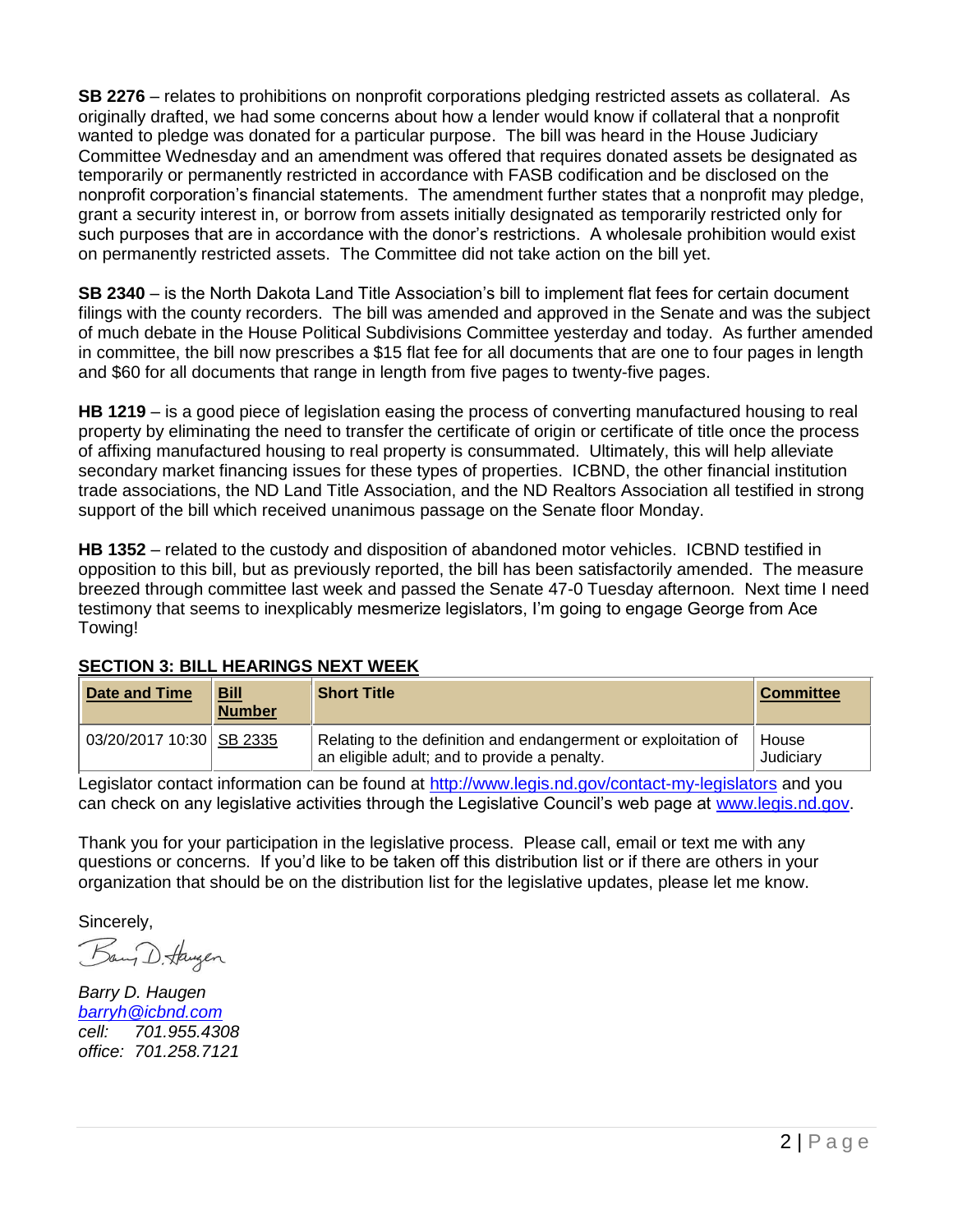**SB 2276** – relates to prohibitions on nonprofit corporations pledging restricted assets as collateral. As originally drafted, we had some concerns about how a lender would know if collateral that a nonprofit wanted to pledge was donated for a particular purpose. The bill was heard in the House Judiciary Committee Wednesday and an amendment was offered that requires donated assets be designated as temporarily or permanently restricted in accordance with FASB codification and be disclosed on the nonprofit corporation's financial statements. The amendment further states that a nonprofit may pledge, grant a security interest in, or borrow from assets initially designated as temporarily restricted only for such purposes that are in accordance with the donor's restrictions. A wholesale prohibition would exist on permanently restricted assets. The Committee did not take action on the bill yet.

**SB 2340** – is the North Dakota Land Title Association's bill to implement flat fees for certain document filings with the county recorders. The bill was amended and approved in the Senate and was the subject of much debate in the House Political Subdivisions Committee yesterday and today. As further amended in committee, the bill now prescribes a \$15 flat fee for all documents that are one to four pages in length and \$60 for all documents that range in length from five pages to twenty-five pages.

**HB 1219** – is a good piece of legislation easing the process of converting manufactured housing to real property by eliminating the need to transfer the certificate of origin or certificate of title once the process of affixing manufactured housing to real property is consummated. Ultimately, this will help alleviate secondary market financing issues for these types of properties. ICBND, the other financial institution trade associations, the ND Land Title Association, and the ND Realtors Association all testified in strong support of the bill which received unanimous passage on the Senate floor Monday.

**HB 1352** – related to the custody and disposition of abandoned motor vehicles. ICBND testified in opposition to this bill, but as previously reported, the bill has been satisfactorily amended. The measure breezed through committee last week and passed the Senate 47-0 Tuesday afternoon. Next time I need testimony that seems to inexplicably mesmerize legislators, I'm going to engage George from Ace Towing!

| <b>Date and Time</b>       | <b>Bill</b><br><b>Number</b> | <b>Short Title</b>                                                                                             | <b>Committee</b>   |
|----------------------------|------------------------------|----------------------------------------------------------------------------------------------------------------|--------------------|
| 03/20/2017 10:30   SB 2335 |                              | Relating to the definition and endangerment or exploitation of<br>an eligible adult; and to provide a penalty. | House<br>Judiciary |

### **SECTION 3: BILL HEARINGS NEXT WEEK**

Legislator contact information can be found at<http://www.legis.nd.gov/contact-my-legislators> and you can check on any legislative activities through the Legislative Council's web page at [www.legis.nd.gov.](http://www.legis.nd.gov/)

Thank you for your participation in the legislative process. Please call, email or text me with any questions or concerns. If you'd like to be taken off this distribution list or if there are others in your organization that should be on the distribution list for the legislative updates, please let me know.

Sincerely,

Bang D. Haugen

*Barry D. Haugen [barryh@icbnd.com](mailto:barryh@icbnd.com) cell: 701.955.4308 office: 701.258.7121*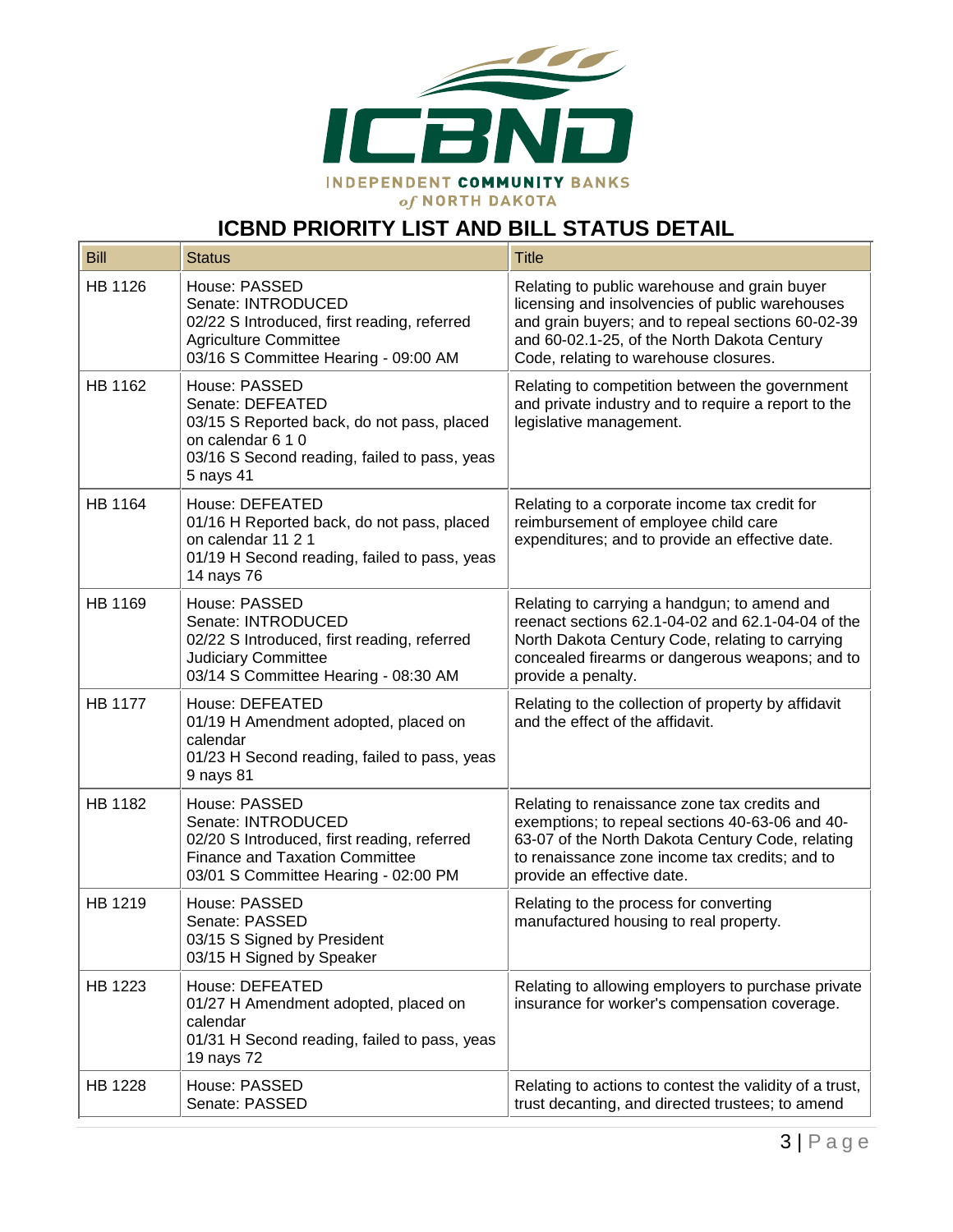

# **ICBND PRIORITY LIST AND BILL STATUS DETAIL**

| <b>Bill</b>    | <b>Status</b>                                                                                                                                                       | <b>Title</b>                                                                                                                                                                                                                                 |
|----------------|---------------------------------------------------------------------------------------------------------------------------------------------------------------------|----------------------------------------------------------------------------------------------------------------------------------------------------------------------------------------------------------------------------------------------|
| HB 1126        | House: PASSED<br>Senate: INTRODUCED<br>02/22 S Introduced, first reading, referred<br><b>Agriculture Committee</b><br>03/16 S Committee Hearing - 09:00 AM          | Relating to public warehouse and grain buyer<br>licensing and insolvencies of public warehouses<br>and grain buyers; and to repeal sections 60-02-39<br>and 60-02.1-25, of the North Dakota Century<br>Code, relating to warehouse closures. |
| HB 1162        | House: PASSED<br>Senate: DEFEATED<br>03/15 S Reported back, do not pass, placed<br>on calendar 6 1 0<br>03/16 S Second reading, failed to pass, yeas<br>5 nays 41   | Relating to competition between the government<br>and private industry and to require a report to the<br>legislative management.                                                                                                             |
| <b>HB 1164</b> | House: DEFEATED<br>01/16 H Reported back, do not pass, placed<br>on calendar 11 2 1<br>01/19 H Second reading, failed to pass, yeas<br>14 nays 76                   | Relating to a corporate income tax credit for<br>reimbursement of employee child care<br>expenditures; and to provide an effective date.                                                                                                     |
| HB 1169        | House: PASSED<br>Senate: INTRODUCED<br>02/22 S Introduced, first reading, referred<br><b>Judiciary Committee</b><br>03/14 S Committee Hearing - 08:30 AM            | Relating to carrying a handgun; to amend and<br>reenact sections 62.1-04-02 and 62.1-04-04 of the<br>North Dakota Century Code, relating to carrying<br>concealed firearms or dangerous weapons; and to<br>provide a penalty.                |
| <b>HB 1177</b> | House: DEFEATED<br>01/19 H Amendment adopted, placed on<br>calendar<br>01/23 H Second reading, failed to pass, yeas<br>9 nays 81                                    | Relating to the collection of property by affidavit<br>and the effect of the affidavit.                                                                                                                                                      |
| HB 1182        | House: PASSED<br>Senate: INTRODUCED<br>02/20 S Introduced, first reading, referred<br><b>Finance and Taxation Committee</b><br>03/01 S Committee Hearing - 02:00 PM | Relating to renaissance zone tax credits and<br>exemptions; to repeal sections 40-63-06 and 40-<br>63-07 of the North Dakota Century Code, relating<br>to renaissance zone income tax credits; and to<br>provide an effective date.          |
| HB 1219        | House: PASSED<br>Senate: PASSED<br>03/15 S Signed by President<br>03/15 H Signed by Speaker                                                                         | Relating to the process for converting<br>manufactured housing to real property.                                                                                                                                                             |
| HB 1223        | House: DEFEATED<br>01/27 H Amendment adopted, placed on<br>calendar<br>01/31 H Second reading, failed to pass, yeas<br>19 nays 72                                   | Relating to allowing employers to purchase private<br>insurance for worker's compensation coverage.                                                                                                                                          |
| HB 1228        | House: PASSED<br>Senate: PASSED                                                                                                                                     | Relating to actions to contest the validity of a trust,<br>trust decanting, and directed trustees; to amend                                                                                                                                  |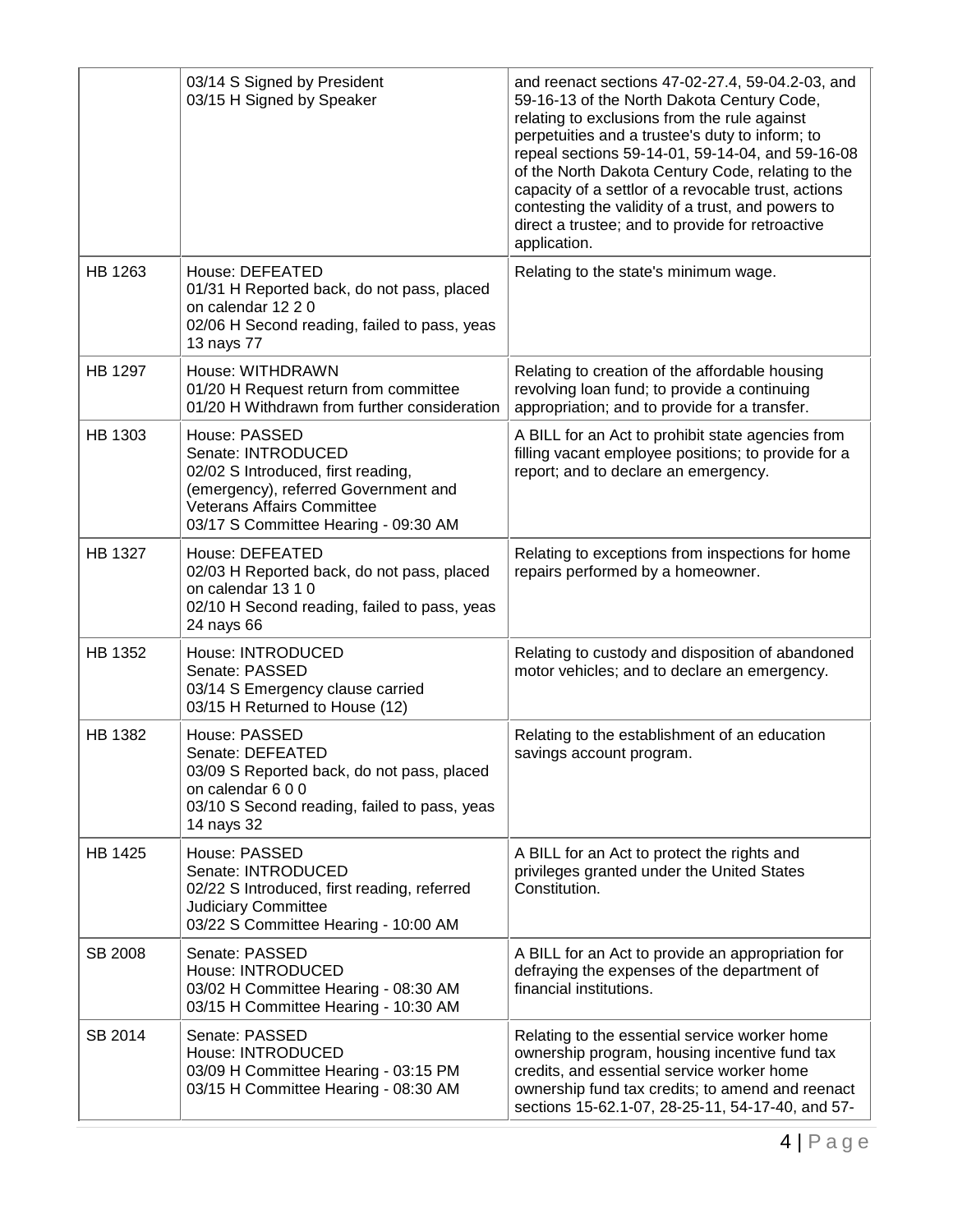|                | 03/14 S Signed by President<br>03/15 H Signed by Speaker                                                                                                                                       | and reenact sections 47-02-27.4, 59-04.2-03, and<br>59-16-13 of the North Dakota Century Code,<br>relating to exclusions from the rule against<br>perpetuities and a trustee's duty to inform; to<br>repeal sections 59-14-01, 59-14-04, and 59-16-08<br>of the North Dakota Century Code, relating to the<br>capacity of a settlor of a revocable trust, actions<br>contesting the validity of a trust, and powers to<br>direct a trustee; and to provide for retroactive<br>application. |
|----------------|------------------------------------------------------------------------------------------------------------------------------------------------------------------------------------------------|--------------------------------------------------------------------------------------------------------------------------------------------------------------------------------------------------------------------------------------------------------------------------------------------------------------------------------------------------------------------------------------------------------------------------------------------------------------------------------------------|
| HB 1263        | House: DEFEATED<br>01/31 H Reported back, do not pass, placed<br>on calendar 12 2 0<br>02/06 H Second reading, failed to pass, yeas<br>13 nays 77                                              | Relating to the state's minimum wage.                                                                                                                                                                                                                                                                                                                                                                                                                                                      |
| HB 1297        | House: WITHDRAWN<br>01/20 H Request return from committee<br>01/20 H Withdrawn from further consideration                                                                                      | Relating to creation of the affordable housing<br>revolving loan fund; to provide a continuing<br>appropriation; and to provide for a transfer.                                                                                                                                                                                                                                                                                                                                            |
| HB 1303        | House: PASSED<br>Senate: INTRODUCED<br>02/02 S Introduced, first reading,<br>(emergency), referred Government and<br><b>Veterans Affairs Committee</b><br>03/17 S Committee Hearing - 09:30 AM | A BILL for an Act to prohibit state agencies from<br>filling vacant employee positions; to provide for a<br>report; and to declare an emergency.                                                                                                                                                                                                                                                                                                                                           |
| <b>HB 1327</b> | House: DEFEATED<br>02/03 H Reported back, do not pass, placed<br>on calendar 13 1 0<br>02/10 H Second reading, failed to pass, yeas<br>24 nays 66                                              | Relating to exceptions from inspections for home<br>repairs performed by a homeowner.                                                                                                                                                                                                                                                                                                                                                                                                      |
| HB 1352        | House: INTRODUCED<br>Senate: PASSED<br>03/14 S Emergency clause carried<br>03/15 H Returned to House (12)                                                                                      | Relating to custody and disposition of abandoned<br>motor vehicles; and to declare an emergency.                                                                                                                                                                                                                                                                                                                                                                                           |
| HB 1382        | House: PASSED<br>Senate: DEFEATED<br>03/09 S Reported back, do not pass, placed<br>on calendar 600<br>03/10 S Second reading, failed to pass, yeas<br>14 nays 32                               | Relating to the establishment of an education<br>savings account program.                                                                                                                                                                                                                                                                                                                                                                                                                  |
| HB 1425        | House: PASSED<br>Senate: INTRODUCED<br>02/22 S Introduced, first reading, referred<br>Judiciary Committee<br>03/22 S Committee Hearing - 10:00 AM                                              | A BILL for an Act to protect the rights and<br>privileges granted under the United States<br>Constitution.                                                                                                                                                                                                                                                                                                                                                                                 |
| SB 2008        | Senate: PASSED<br>House: INTRODUCED<br>03/02 H Committee Hearing - 08:30 AM<br>03/15 H Committee Hearing - 10:30 AM                                                                            | A BILL for an Act to provide an appropriation for<br>defraying the expenses of the department of<br>financial institutions.                                                                                                                                                                                                                                                                                                                                                                |
| SB 2014        | Senate: PASSED<br>House: INTRODUCED<br>03/09 H Committee Hearing - 03:15 PM<br>03/15 H Committee Hearing - 08:30 AM                                                                            | Relating to the essential service worker home<br>ownership program, housing incentive fund tax<br>credits, and essential service worker home<br>ownership fund tax credits; to amend and reenact<br>sections 15-62.1-07, 28-25-11, 54-17-40, and 57-                                                                                                                                                                                                                                       |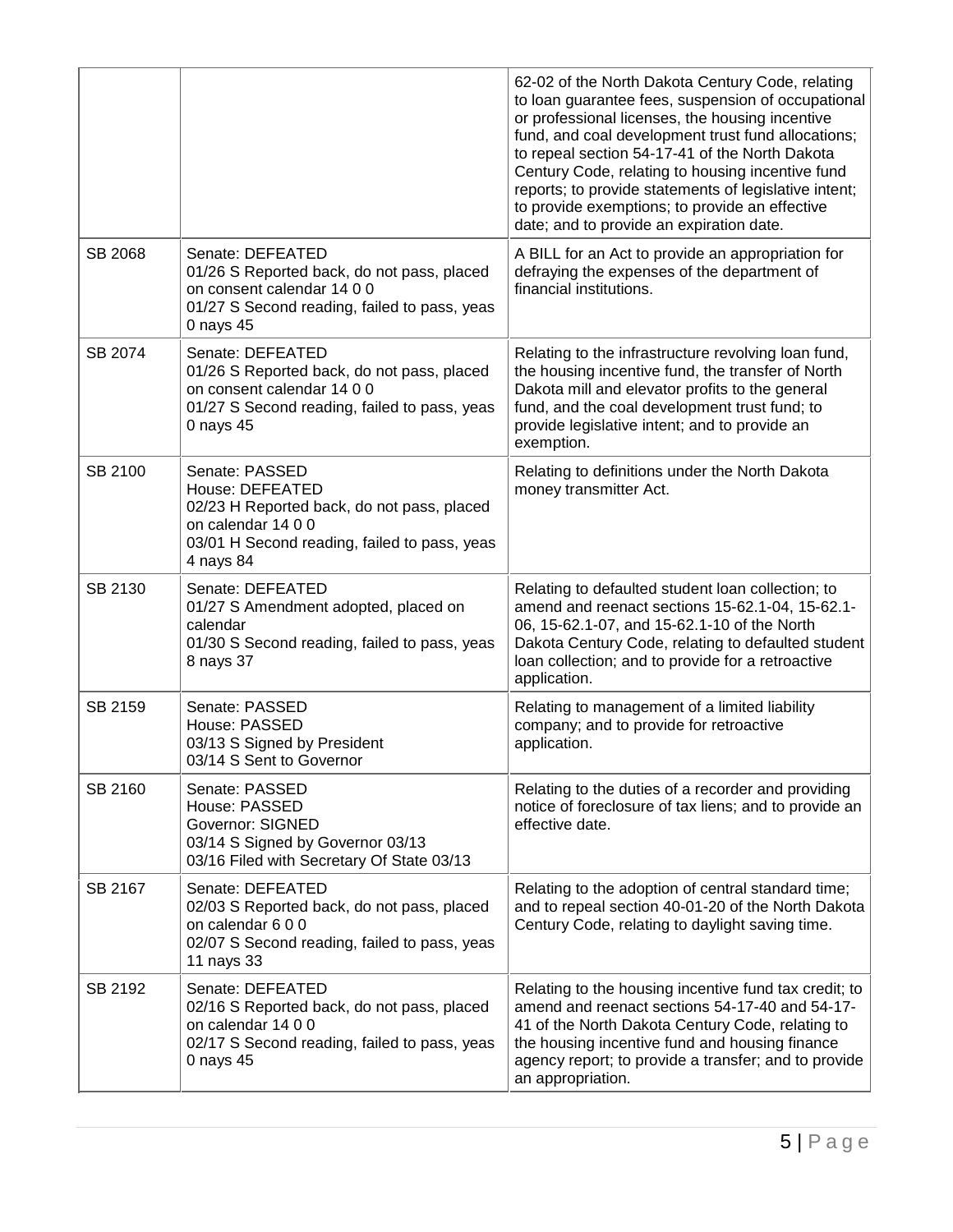|         |                                                                                                                                                                    | 62-02 of the North Dakota Century Code, relating<br>to loan guarantee fees, suspension of occupational<br>or professional licenses, the housing incentive<br>fund, and coal development trust fund allocations;<br>to repeal section 54-17-41 of the North Dakota<br>Century Code, relating to housing incentive fund<br>reports; to provide statements of legislative intent;<br>to provide exemptions; to provide an effective<br>date; and to provide an expiration date. |
|---------|--------------------------------------------------------------------------------------------------------------------------------------------------------------------|------------------------------------------------------------------------------------------------------------------------------------------------------------------------------------------------------------------------------------------------------------------------------------------------------------------------------------------------------------------------------------------------------------------------------------------------------------------------------|
| SB 2068 | Senate: DEFEATED<br>01/26 S Reported back, do not pass, placed<br>on consent calendar 14 0 0<br>01/27 S Second reading, failed to pass, yeas<br>0 nays 45          | A BILL for an Act to provide an appropriation for<br>defraying the expenses of the department of<br>financial institutions.                                                                                                                                                                                                                                                                                                                                                  |
| SB 2074 | Senate: DEFEATED<br>01/26 S Reported back, do not pass, placed<br>on consent calendar 14 0 0<br>01/27 S Second reading, failed to pass, yeas<br>0 nays $45$        | Relating to the infrastructure revolving loan fund,<br>the housing incentive fund, the transfer of North<br>Dakota mill and elevator profits to the general<br>fund, and the coal development trust fund; to<br>provide legislative intent; and to provide an<br>exemption.                                                                                                                                                                                                  |
| SB 2100 | Senate: PASSED<br>House: DEFEATED<br>02/23 H Reported back, do not pass, placed<br>on calendar 14 0 0<br>03/01 H Second reading, failed to pass, yeas<br>4 nays 84 | Relating to definitions under the North Dakota<br>money transmitter Act.                                                                                                                                                                                                                                                                                                                                                                                                     |
| SB 2130 | Senate: DEFEATED<br>01/27 S Amendment adopted, placed on<br>calendar<br>01/30 S Second reading, failed to pass, yeas<br>8 nays 37                                  | Relating to defaulted student loan collection; to<br>amend and reenact sections 15-62.1-04, 15-62.1-<br>06, 15-62.1-07, and 15-62.1-10 of the North<br>Dakota Century Code, relating to defaulted student<br>loan collection; and to provide for a retroactive<br>application.                                                                                                                                                                                               |
| SB 2159 | Senate: PASSED<br>House: PASSED<br>03/13 S Signed by President<br>03/14 S Sent to Governor                                                                         | Relating to management of a limited liability<br>company; and to provide for retroactive<br>application.                                                                                                                                                                                                                                                                                                                                                                     |
| SB 2160 | Senate: PASSED<br>House: PASSED<br><b>Governor: SIGNED</b><br>03/14 S Signed by Governor 03/13<br>03/16 Filed with Secretary Of State 03/13                        | Relating to the duties of a recorder and providing<br>notice of foreclosure of tax liens; and to provide an<br>effective date.                                                                                                                                                                                                                                                                                                                                               |
| SB 2167 | Senate: DEFEATED<br>02/03 S Reported back, do not pass, placed<br>on calendar 600<br>02/07 S Second reading, failed to pass, yeas<br>11 nays 33                    | Relating to the adoption of central standard time;<br>and to repeal section 40-01-20 of the North Dakota<br>Century Code, relating to daylight saving time.                                                                                                                                                                                                                                                                                                                  |
| SB 2192 | Senate: DEFEATED<br>02/16 S Reported back, do not pass, placed<br>on calendar 14 0 0<br>02/17 S Second reading, failed to pass, yeas<br>0 nays 45                  | Relating to the housing incentive fund tax credit; to<br>amend and reenact sections 54-17-40 and 54-17-<br>41 of the North Dakota Century Code, relating to<br>the housing incentive fund and housing finance<br>agency report; to provide a transfer; and to provide<br>an appropriation.                                                                                                                                                                                   |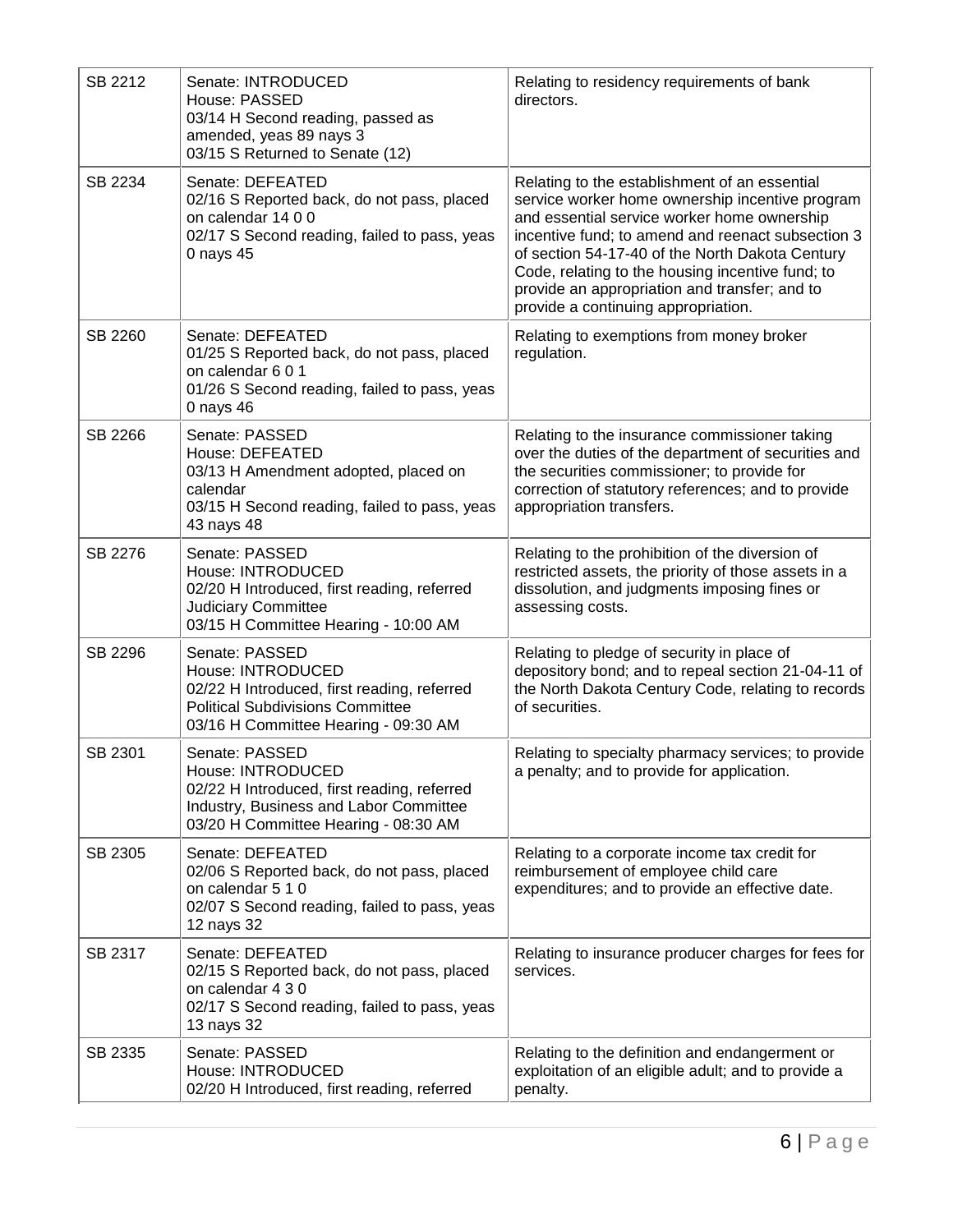| SB 2212 | Senate: INTRODUCED<br>House: PASSED<br>03/14 H Second reading, passed as<br>amended, yeas 89 nays 3<br>03/15 S Returned to Senate (12)                                | Relating to residency requirements of bank<br>directors.                                                                                                                                                                                                                                                                                                                                            |
|---------|-----------------------------------------------------------------------------------------------------------------------------------------------------------------------|-----------------------------------------------------------------------------------------------------------------------------------------------------------------------------------------------------------------------------------------------------------------------------------------------------------------------------------------------------------------------------------------------------|
| SB 2234 | Senate: DEFEATED<br>02/16 S Reported back, do not pass, placed<br>on calendar 14 0 0<br>02/17 S Second reading, failed to pass, yeas<br>0 nays 45                     | Relating to the establishment of an essential<br>service worker home ownership incentive program<br>and essential service worker home ownership<br>incentive fund; to amend and reenact subsection 3<br>of section 54-17-40 of the North Dakota Century<br>Code, relating to the housing incentive fund; to<br>provide an appropriation and transfer; and to<br>provide a continuing appropriation. |
| SB 2260 | Senate: DEFEATED<br>01/25 S Reported back, do not pass, placed<br>on calendar 601<br>01/26 S Second reading, failed to pass, yeas<br>0 nays 46                        | Relating to exemptions from money broker<br>regulation.                                                                                                                                                                                                                                                                                                                                             |
| SB 2266 | Senate: PASSED<br>House: DEFEATED<br>03/13 H Amendment adopted, placed on<br>calendar<br>03/15 H Second reading, failed to pass, yeas<br>43 nays 48                   | Relating to the insurance commissioner taking<br>over the duties of the department of securities and<br>the securities commissioner; to provide for<br>correction of statutory references; and to provide<br>appropriation transfers.                                                                                                                                                               |
| SB 2276 | Senate: PASSED<br>House: INTRODUCED<br>02/20 H Introduced, first reading, referred<br><b>Judiciary Committee</b><br>03/15 H Committee Hearing - 10:00 AM              | Relating to the prohibition of the diversion of<br>restricted assets, the priority of those assets in a<br>dissolution, and judgments imposing fines or<br>assessing costs.                                                                                                                                                                                                                         |
| SB 2296 | Senate: PASSED<br>House: INTRODUCED<br>02/22 H Introduced, first reading, referred<br><b>Political Subdivisions Committee</b><br>03/16 H Committee Hearing - 09:30 AM | Relating to pledge of security in place of<br>depository bond; and to repeal section 21-04-11 of<br>the North Dakota Century Code, relating to records<br>of securities.                                                                                                                                                                                                                            |
| SB 2301 | Senate: PASSED<br>House: INTRODUCED<br>02/22 H Introduced, first reading, referred<br>Industry, Business and Labor Committee<br>03/20 H Committee Hearing - 08:30 AM  | Relating to specialty pharmacy services; to provide<br>a penalty; and to provide for application.                                                                                                                                                                                                                                                                                                   |
| SB 2305 | Senate: DEFEATED<br>02/06 S Reported back, do not pass, placed<br>on calendar 5 1 0<br>02/07 S Second reading, failed to pass, yeas<br>12 nays 32                     | Relating to a corporate income tax credit for<br>reimbursement of employee child care<br>expenditures; and to provide an effective date.                                                                                                                                                                                                                                                            |
| SB 2317 | Senate: DEFEATED<br>02/15 S Reported back, do not pass, placed<br>on calendar 4 3 0<br>02/17 S Second reading, failed to pass, yeas<br>13 nays 32                     | Relating to insurance producer charges for fees for<br>services.                                                                                                                                                                                                                                                                                                                                    |
| SB 2335 | Senate: PASSED<br>House: INTRODUCED<br>02/20 H Introduced, first reading, referred                                                                                    | Relating to the definition and endangerment or<br>exploitation of an eligible adult; and to provide a<br>penalty.                                                                                                                                                                                                                                                                                   |